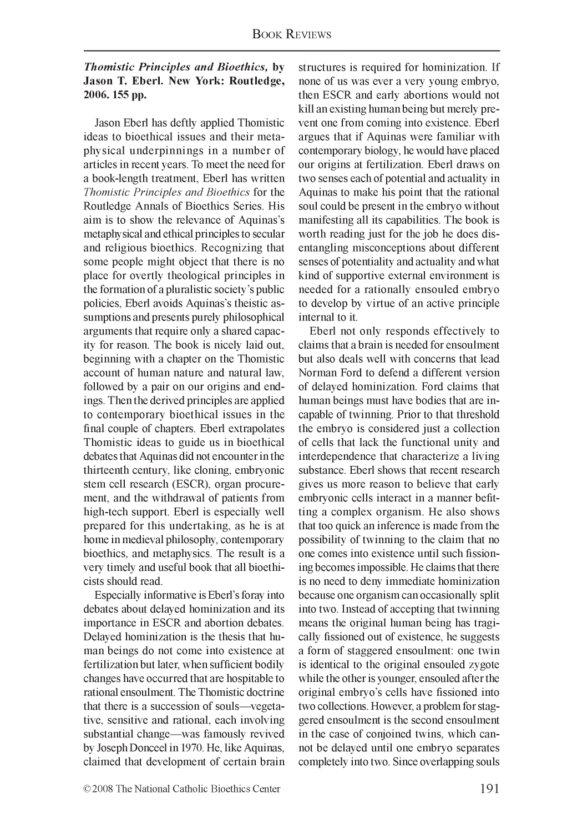## *T h om istic P rin cip les a n d B io eth ics,* **by Jason T. Eberl. New York: Routledge, 2006. 155 pp.**

Jason Eberl has deftly applied Thomistic ideas to bioethical issues and their metaphysical underpinnings in a number of articles in recent years. To meet the need for a book-length treatment, Eberl has written *Thomistic Principles and Bioethics* for the Routledge Annals of Bioethics Series. His aim is to show the relevance of Aquinas's metaphysical and ethical principles to secular and religious bioethics. Recognizing that some people might object that there is no place for overtly theological principles in the formation of a pluralistic society's public policies, Eberl avoids Aquinas's theistic assumptions and presents purely philosophical arguments that require only a shared capacity for reason. The book is nicely laid out, beginning with a chapter on the Thomistic account of human nature and natural law, followed by a pair on our origins and endings. Then the derived principles are applied to contemporary bioethical issues in the final couple of chapters. Eberl extrapolates Thomistic ideas to guide us in bioethical debates that Aquinas did not encounter in the thirteenth century, like cloning, embryonic stem cell research (ESCR), organ procurement, and the withdrawal of patients from high-tech support. Eberl is especially well prepared for this undertaking, as he is at home in medieval philosophy, contemporary bioethics, and metaphysics. The result is a very timely and useful book that all bioethicists should read.

Especially informative is Eberl's foray into debates about delayed hominization and its importance in ESCR and abortion debates. Delayed hominization is the thesis that human beings do not come into existence at fertilization but later, when sufficient bodily changes have occurred that are hospitable to rational ensoulment. The Thomistic doctrine that there is a succession of souls—vegetative, sensitive and rational, each involving substantial change—was famously revived by Joseph Donceel in 1970. He, like Aquinas, claimed that development of certain brain structures is required for hominization. If none of us was ever a very young embryo, then ESCR and early abortions would not kill an existing human being but merely prevent one from coming into existence. Eberl argues that if Aquinas were familiar with contemporary biology, he would have placed our origins at fertilization. Eberl draws on two senses each of potential and actuality in Aquinas to make his point that the rational soul could be present in the embryo without manifesting all its capabilities. The book is worth reading just for the job he does disentangling misconceptions about different senses of potentiality and actuality and what kind of supportive external environment is needed for a rationally ensouled embryo to develop by virtue of an active principle internal to it.

Eberl not only responds effectively to claims that a brain is needed for ensoulment but also deals well with concerns that lead Norman Ford to defend a different version of delayed hominization. Ford claims that human beings must have bodies that are incapable of twinning. Prior to that threshold the embryo is considered just a collection of cells that lack the functional unity and interdependence that characterize a living substance. Eberl shows that recent research gives us more reason to believe that early embryonic cells interact in a manner befitting a complex organism. He also shows that too quick an inference is made from the possibility of twinning to the claim that no one comes into existence until such fissioning becomes impossible. He claims that there is no need to deny immediate hominization because one organism can occasionally split into two. Instead of accepting that twinning means the original human being has tragically fissioned out of existence, he suggests a form of staggered ensoulment: one twin is identical to the original ensouled zygote while the other is younger, ensouled after the original embryo's cells have fissioned into two collections. However, a problem for staggered ensoulment is the second ensoulment in the case of conjoined twins, which cannot be delayed until one embryo separates completely into two. Since overlapping souls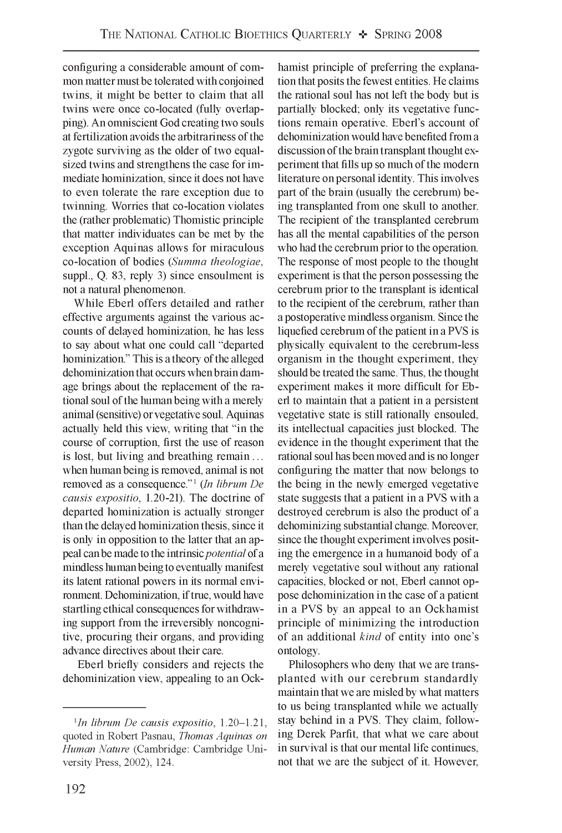configuring a considerable amount of common matter must be tolerated with conjoined twins, it might be better to claim that all twins were once co-located (fully overlapping). An omniscient God creating two souls at fertilization avoids the arbitrariness of the zygote surviving as the older of two equalsized twins and strengthens the case for immediate hominization, since it does not have to even tolerate the rare exception due to twinning. Worries that co-location violates the (rather problematic) Thomistic principle that matter individuates can be met by the exception Aquinas allows for miraculous co-location of bodies *(Summa theologiae,* suppl., Q. 83, reply 3) since ensoulment is not a natural phenomenon.

While Eberl offers detailed and rather effective arguments against the various accounts of delayed hominization, he has less to say about what one could call "departed hominization." This is a theory of the alleged dehominization that occurs when brain damage brings about the replacement of the rational soul of the human being with a merely animal (sensitive) or vegetative soul. Aquinas actually held this view, writing that "in the course of corruption, first the use of reason is lost, but living and breathing remain . . . when human being is removed, animal is not removed as a consequence."<sup>1</sup> (In librum De *causis expositio,* 1.20-21). The doctrine of departed hominization is actually stronger than the delayed hominization thesis, since it is only in opposition to the latter that an appeal can be made to the intrinsic *potential* of a mindless human being to eventually manifest its latent rational powers in its normal environment. Dehominization, if true, would have startling ethical consequences for withdrawing support from the irreversibly noncognitive, procuring their organs, and providing advance directives about their care.

Eberl briefly considers and rejects the dehominization view, appealing to an Ockhamist principle of preferring the explanation that posits the fewest entities. He claims the rational soul has not left the body but is partially blocked; only its vegetative functions remain operative. Eberl's account of dehominization would have benefited from a discussion of the brain transplant thought experiment that fills up so much of the modern literature on personal identity. This involves part of the brain (usually the cerebrum) being transplanted from one skull to another. The recipient of the transplanted cerebrum has all the mental capabilities of the person who had the cerebrum prior to the operation. The response of most people to the thought experiment is that the person possessing the cerebrum prior to the transplant is identical to the recipient of the cerebrum, rather than a postoperative mindless organism. Since the liquefied cerebrum of the patient in a PVS is physically equivalent to the cerebrum-less organism in the thought experiment, they should be treated the same. Thus, the thought experiment makes it more difficult for Eberl to maintain that a patient in a persistent vegetative state is still rationally ensouled, its intellectual capacities just blocked. The evidence in the thought experiment that the rational soul has been moved and is no longer configuring the matter that now belongs to the being in the newly emerged vegetative state suggests that a patient in a PVS with a destroyed cerebrum is also the product of a dehominizing substantial change. Moreover, since the thought experiment involves positing the emergence in a humanoid body of a merely vegetative soul without any rational capacities, blocked or not, Eberl cannot oppose dehominization in the case of a patient in a PVS by an appeal to an Ockhamist principle of minimizing the introduction of an additional *kind* of entity into one's ontology.

Philosophers who deny that we are transplanted with our cerebrum standardly maintain that we are misled by what matters to us being transplanted while we actually stay behind in a PVS. They claim, following Derek Parfit, that what we care about in survival is that our mental life continues, not that we are the subject of it. However,

<sup>1</sup> *In librum De causis expositio,* 1.20-1.21, quoted in Robert Pasnau, *Thomas Aquinas on Human Nature* (Cambridge: Cambridge University Press, 2002), 124.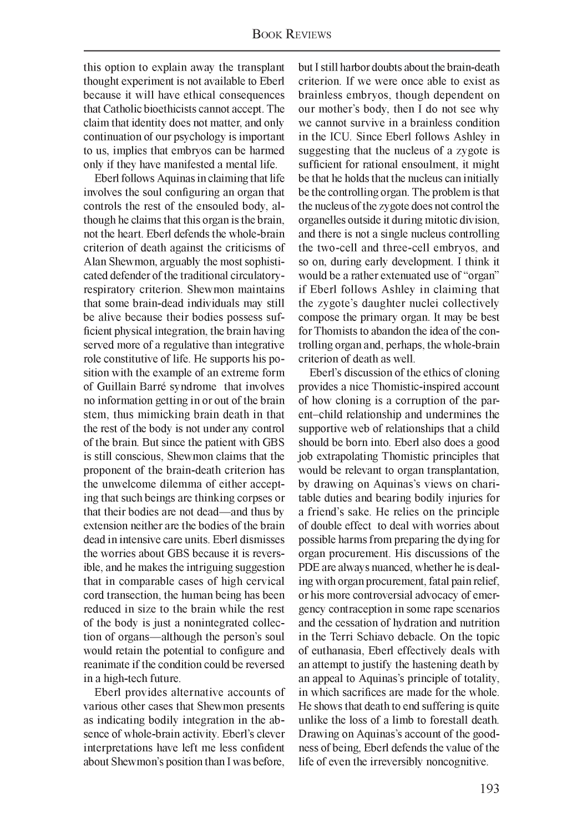this option to explain away the transplant thought experiment is not available to Eberl because it will have ethical consequences that Catholic bioethicists cannot accept. The claim that identity does not matter, and only continuation of our psychology is important to us, implies that embryos can be harmed only if they have manifested a mental life.

Eberl follows Aquinas in claiming that life involves the soul configuring an organ that controls the rest of the ensouled body, although he claims that this organ is the brain, not the heart. Eberl defends the whole-brain criterion of death against the criticisms of Alan Shewmon, arguably the most sophisticated defender of the traditional circulatoryrespiratory criterion. Shewmon maintains that some brain-dead individuals may still be alive because their bodies possess sufficient physical integration, the brain having served more of a regulative than integrative role constitutive of life. He supports his position with the example of an extreme form of Guillain Barre syndrome that involves no information getting in or out of the brain stem, thus mimicking brain death in that the rest of the body is not under any control of the brain. But since the patient with GBS is still conscious, Shewmon claims that the proponent of the brain-death criterion has the unwelcome dilemma of either accepting that such beings are thinking corpses or that their bodies are not dead—and thus by extension neither are the bodies of the brain dead in intensive care units. Eberl dismisses the worries about GBS because it is reversible, and he makes the intriguing suggestion that in comparable cases of high cervical cord transection, the human being has been reduced in size to the brain while the rest of the body is just a nonintegrated collection of organs—although the person's soul would retain the potential to configure and reanimate if the condition could be reversed in a high-tech future.

Eberl provides alternative accounts of various other cases that Shewmon presents as indicating bodily integration in the absence of whole-brain activity. Eberl's clever interpretations have left me less confident about Shewmon's position than I was before, but I still harbor doubts about the brain-death criterion. If we were once able to exist as brainless embryos, though dependent on our mother's body, then I do not see why we cannot survive in a brainless condition in the ICU. Since Eberl follows Ashley in suggesting that the nucleus of a zygote is sufficient for rational ensoulment, it might be that he holds that the nucleus can initially be the controlling organ. The problem is that the nucleus of the zygote does not control the organelles outside it during mitotic division, and there is not a single nucleus controlling the two-cell and three-cell embryos, and so on, during early development. I think it would be a rather extenuated use of "organ" if Eberl follows Ashley in claiming that the zygote's daughter nuclei collectively compose the primary organ. It may be best for Thomists to abandon the idea of the controlling organ and, perhaps, the whole-brain criterion of death as well.

Eberl's discussion of the ethics of cloning provides a nice Thomistic-inspired account of how cloning is a corruption of the parent-child relationship and undermines the supportive web of relationships that a child should be born into. Eberl also does a good job extrapolating Thomistic principles that would be relevant to organ transplantation, by drawing on Aquinas's views on charitable duties and bearing bodily injuries for a friend's sake. He relies on the principle of double effect to deal with worries about possible harms from preparing the dying for organ procurement. His discussions of the PDE are always nuanced, whether he is dealing with organ procurement, fatal pain relief, or his more controversial advocacy of emergency contraception in some rape scenarios and the cessation of hydration and nutrition in the Terri Schiavo debacle. On the topic of euthanasia, Eberl effectively deals with an attempt to justify the hastening death by an appeal to Aquinas's principle of totality, in which sacrifices are made for the whole. He shows that death to end suffering is quite unlike the loss of a limb to forestall death. Drawing on Aquinas's account of the goodness of being, Eberl defends the value of the life of even the irreversibly noncognitive.